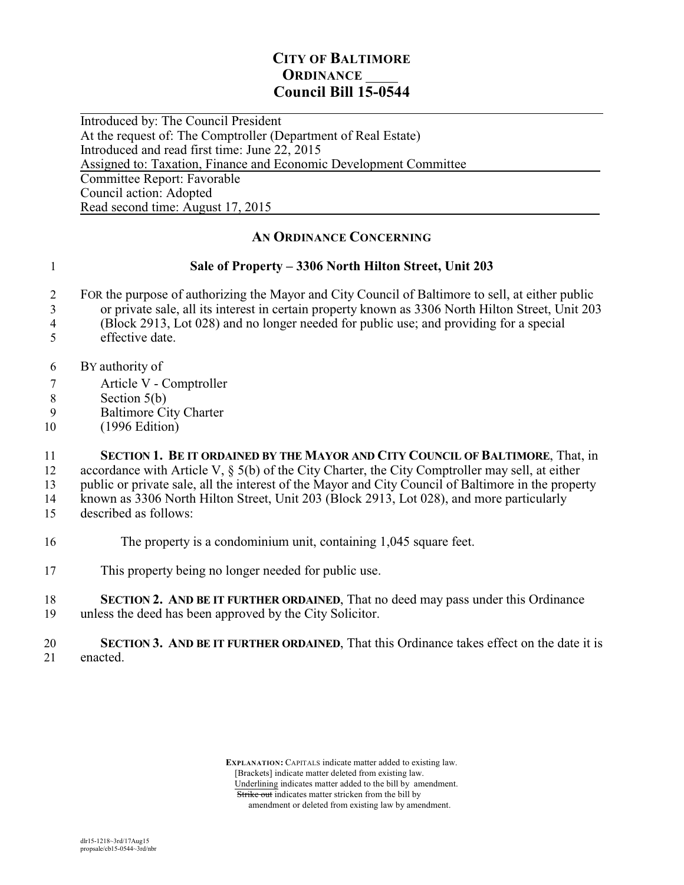## **CITY OF BALTIMORE ORDINANCE Council Bill 15-0544**

 $\overline{a}$ Introduced by: The Council President At the request of: The Comptroller (Department of Real Estate) Introduced and read first time: June 22, 2015 Assigned to: Taxation, Finance and Economic Development Committee Committee Report: Favorable Council action: Adopted Read second time: August 17, 2015

## **AN ORDINANCE CONCERNING**

## 1 **Sale of Property – 3306 North Hilton Street, Unit 203**

- 2 FOR the purpose of authorizing the Mayor and City Council of Baltimore to sell, at either public
- 3 or private sale, all its interest in certain property known as 3306 North Hilton Street, Unit 203
- 4 (Block 2913, Lot 028) and no longer needed for public use; and providing for a special
- 5 effective date.
- 6 BY authority of
- 7 Article V Comptroller
- 8 Section 5(b)<br>9 Baltimore Ci
- Baltimore City Charter
- 10 (1996 Edition)

11 **SECTION 1. BE IT ORDAINED BY THE MAYOR AND CITY COUNCIL OF BALTIMORE**, That, in 12 accordance with Article V, § 5(b) of the City Charter, the City Comptroller may sell, at either

13 public or private sale, all the interest of the Mayor and City Council of Baltimore in the property

14 known as 3306 North Hilton Street, Unit 203 (Block 2913, Lot 028), and more particularly

- 15 described as follows:
- 16 The property is a condominium unit, containing 1,045 square feet.
- 17 This property being no longer needed for public use.
- 18 **SECTION 2. AND BE IT FURTHER ORDAINED**, That no deed may pass under this Ordinance 19 unless the deed has been approved by the City Solicitor.
- 20 **SECTION 3. AND BE IT FURTHER ORDAINED**, That this Ordinance takes effect on the date it is enacted.

 **EXPLANATION:** CAPITALS indicate matter added to existing law. [Brackets] indicate matter deleted from existing law. Underlining indicates matter added to the bill by amendment. Strike out indicates matter stricken from the bill by amendment or deleted from existing law by amendment.